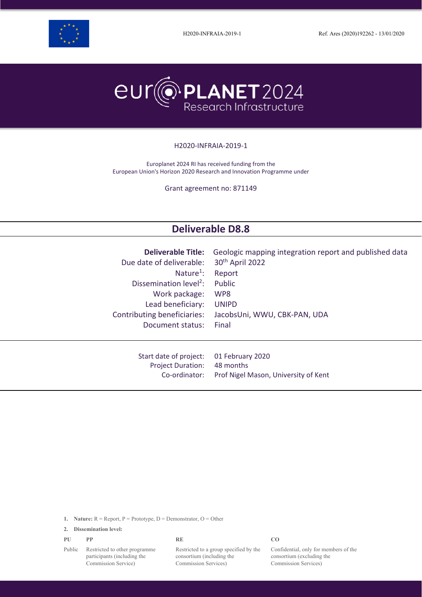





#### H2020-INFRAIA-2019-1

Europlanet 2024 RI has received funding from the European Union's Horizon 2020 Research and Innovation Programme under

Grant agreement no: 871149

# **Deliverable D8.8**

| <b>Deliverable Title:</b>          | Geologic mapping integration report and published data |
|------------------------------------|--------------------------------------------------------|
| Due date of deliverable:           | 30 <sup>th</sup> April 2022                            |
| Nature <sup>1</sup> :              | Report                                                 |
| Dissemination level <sup>2</sup> : | Public                                                 |
| Work package:                      | WP8                                                    |
| Lead beneficiary:                  | <b>UNIPD</b>                                           |
| Contributing beneficiaries:        | JacobsUni, WWU, CBK-PAN, UDA                           |
| Document status:                   | Final                                                  |
| Start date of project:             | 01 February 2020                                       |
| <b>Project Duration:</b>           | 48 months                                              |
| Co-ordinator:                      | Prof Nigel Mason, University of Kent                   |

**1. Nature:** R = Report, P = Prototype, D = Demonstrator, O = Other

**2. Dissemination level:**

**PU PP RE CO**

Public Restricted to other programme participants (including the Commission Service)

Restricted to a group specified by the consortium (including the Commission Services)

Confidential, only for members of the consortium (excluding the Commission Services)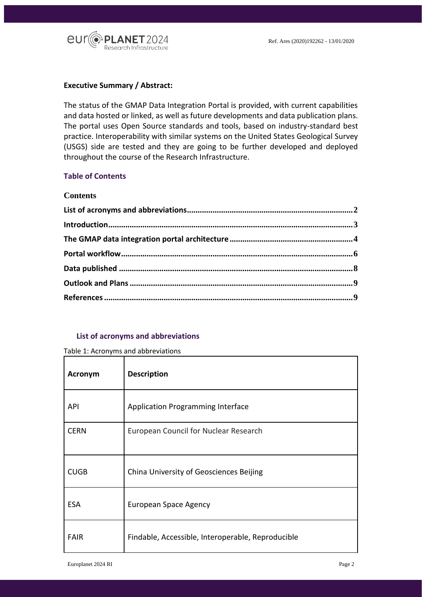

#### **Executive Summary / Abstract:**

The status of the GMAP Data Integration Portal is provided, with current capabilities and data hosted or linked, as well as future developments and data publication plans. The portal uses Open Source standards and tools, based on industry-standard best practice. Interoperability with similar systems on the United States Geological Survey (USGS) side are tested and they are going to be further developed and deployed throughout the course of the Research Infrastructure.

## **Table of Contents**

#### **Contents**

#### <span id="page-1-0"></span>**List of acronyms and abbreviations**

#### Table 1: Acronyms and abbreviations

| <b>Acronym</b> | <b>Description</b>                                |
|----------------|---------------------------------------------------|
| API            | <b>Application Programming Interface</b>          |
| <b>CERN</b>    | European Council for Nuclear Research             |
| <b>CUGB</b>    | China University of Geosciences Beijing           |
| <b>ESA</b>     | <b>European Space Agency</b>                      |
| <b>FAIR</b>    | Findable, Accessible, Interoperable, Reproducible |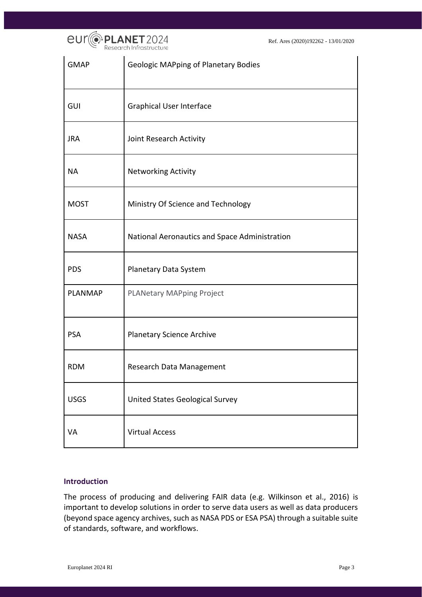

| <b>GMAP</b>    | <b>Geologic MAPping of Planetary Bodies</b>   |
|----------------|-----------------------------------------------|
| GUI            | <b>Graphical User Interface</b>               |
| <b>JRA</b>     | Joint Research Activity                       |
| <b>NA</b>      | <b>Networking Activity</b>                    |
| <b>MOST</b>    | Ministry Of Science and Technology            |
| <b>NASA</b>    | National Aeronautics and Space Administration |
| <b>PDS</b>     | Planetary Data System                         |
| <b>PLANMAP</b> | <b>PLANetary MAPping Project</b>              |
| <b>PSA</b>     | <b>Planetary Science Archive</b>              |
| <b>RDM</b>     | Research Data Management                      |
| <b>USGS</b>    | <b>United States Geological Survey</b>        |
| VA             | <b>Virtual Access</b>                         |

#### <span id="page-2-0"></span>**Introduction**

The process of producing and delivering FAIR data (e.g. Wilkinson et al., 2016) is important to develop solutions in order to serve data users as well as data producers (beyond space agency archives, such as NASA PDS or ESA PSA) through a suitable suite of standards, software, and workflows.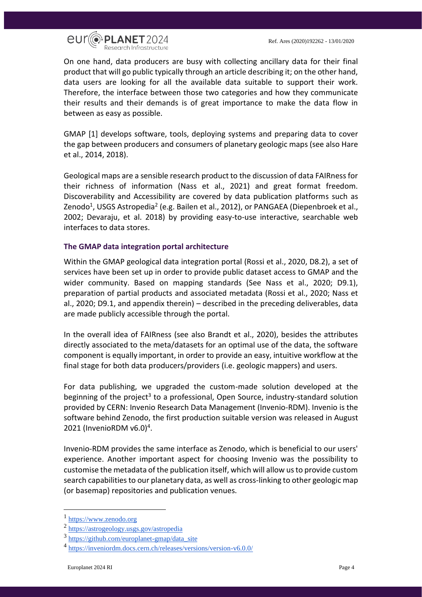



On one hand, data producers are busy with collecting ancillary data for their final product that will go public typically through an article describing it; on the other hand, data users are looking for all the available data suitable to support their work. Therefore, the interface between those two categories and how they communicate their results and their demands is of great importance to make the data flow in between as easy as possible.

GMAP [1] develops software, tools, deploying systems and preparing data to cover the gap between producers and consumers of planetary geologic maps (see also Hare et al., 2014, 2018).

Geological maps are a sensible research product to the discussion of data FAIRness for their richness of information (Nass et al., 2021) and great format freedom. Discoverability and Accessibility are covered by data publication platforms such as Zenodo<sup>1</sup>, USGS Astropedia<sup>2</sup> (e.g. Bailen et al., 2012), or PANGAEA (Diepenbroek et al., 2002; Devaraju, et al. 2018) by providing easy-to-use interactive, searchable web interfaces to data stores.

## <span id="page-3-0"></span>**The GMAP data integration portal architecture**

Within the GMAP geological data integration portal (Rossi et al., 2020, D8.2), a set of services have been set up in order to provide public dataset access to GMAP and the wider community. Based on mapping standards (See Nass et al., 2020; D9.1), preparation of partial products and associated metadata (Rossi et al., 2020; Nass et al., 2020; D9.1, and appendix therein) – described in the preceding deliverables, data are made publicly accessible through the portal.

In the overall idea of FAIRness (see also Brandt et al., 2020), besides the attributes directly associated to the meta/datasets for an optimal use of the data, the software component is equally important, in order to provide an easy, intuitive workflow at the final stage for both data producers/providers (i.e. geologic mappers) and users.

For data publishing, we upgraded the custom-made solution developed at the beginning of the project<sup>3</sup> to a professional, Open Source, industry-standard solution provided by CERN: Invenio Research Data Management (Invenio-RDM). Invenio is the software behind Zenodo, the first production suitable version was released in August 2021 (InvenioRDM v6.0)<sup>4</sup>.

Invenio-RDM provides the same interface as Zenodo, which is beneficial to our users' experience. Another important aspect for choosing Invenio was the possibility to customise the metadata of the publication itself, which will allow us to provide custom search capabilities to our planetary data, as well as cross-linking to other geologic map (or basemap) repositories and publication venues.

<sup>&</sup>lt;sup>1</sup> [https://www.zenodo.org](https://www.zenodo.org/)

<sup>2</sup> <https://astrogeology.usgs.gov/astropedia>

<sup>3</sup> [https://github.com/europlanet-gmap/data\\_site](https://github.com/europlanet-gmap/data_site)

<sup>4</sup> <https://inveniordm.docs.cern.ch/releases/versions/version-v6.0.0/>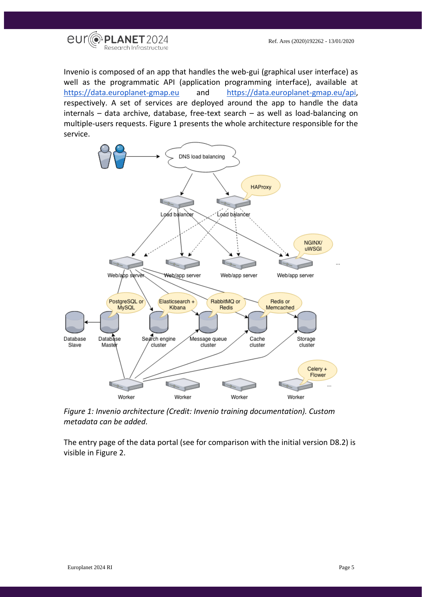

Invenio is composed of an app that handles the web-gui (graphical user interface) as well as the programmatic API (application programming interface), available at [https://data.europlanet-gmap.eu](https://data.europlanet-gmap.eu/) and [https://data.europlanet-gmap.eu/api,](https://data.europlanet-gmap.eu/api) respectively. A set of services are deployed around the app to handle the data internals – data archive, database, free-text search – as well as load-balancing on multiple-users requests. Figure 1 presents the whole architecture responsible for the service.



*Figure 1: Invenio architecture (Credit: Invenio training documentation). Custom metadata can be added.*

The entry page of the data portal (see for comparison with the initial version D8.2) is visible in Figure 2.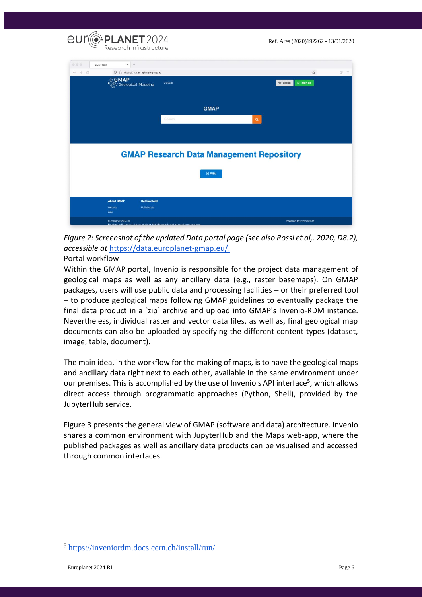

*Figure 2: Screenshot of the updated Data portal page (see also Rossi et al,. 2020, D8.2), accessible at* [https://data.europlanet-gmap.eu/.](https://data.europlanet-gmap.eu/)

## <span id="page-5-0"></span>Portal workflow

Within the GMAP portal, Invenio is responsible for the project data management of geological maps as well as any ancillary data (e.g., raster basemaps). On GMAP packages, users will use public data and processing facilities – or their preferred tool – to produce geological maps following GMAP guidelines to eventually package the final data product in a `zip` archive and upload into GMAP's Invenio-RDM instance. Nevertheless, individual raster and vector data files, as well as, final geological map documents can also be uploaded by specifying the different content types (dataset, image, table, document).

The main idea, in the workflow for the making of maps, is to have the geological maps and ancillary data right next to each other, available in the same environment under our premises. This is accomplished by the use of Invenio's API interface<sup>5</sup>, which allows direct access through programmatic approaches (Python, Shell), provided by the JupyterHub service.

Figure 3 presents the general view of GMAP (software and data) architecture. Invenio shares a common environment with JupyterHub and the Maps web-app, where the published packages as well as ancillary data products can be visualised and accessed through common interfaces.

<sup>5</sup> <https://inveniordm.docs.cern.ch/install/run/>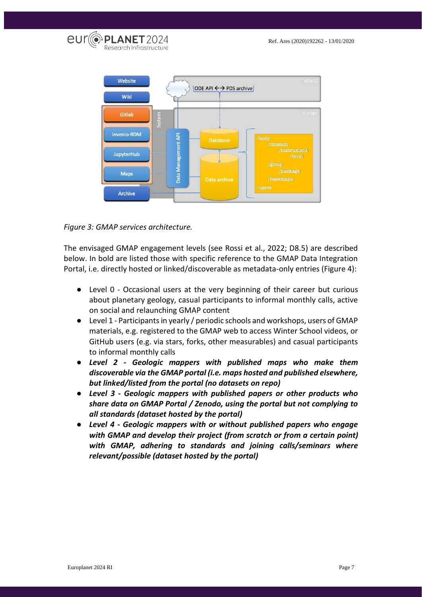



*Figure 3: GMAP services architecture.*

The envisaged GMAP engagement levels (see Rossi et al., 2022; D8.5) are described below. In bold are listed those with specific reference to the GMAP Data Integration Portal, i.e. directly hosted or linked/discoverable as metadata-only entries (Figure 4):

- Level 0 Occasional users at the very beginning of their career but curious about planetary geology, casual participants to informal monthly calls, active on social and relaunching GMAP content
- Level 1 Participants in yearly / periodic schools and workshops, users of GMAP materials, e.g. registered to the GMAP web to access Winter School videos, or GitHub users (e.g. via stars, forks, other measurables) and casual participants to informal monthly calls
- *Level 2 - Geologic mappers with published maps who make them discoverable via the GMAP portal (i.e. maps hosted and published elsewhere, but linked/listed from the portal (no datasets on repo)*
- *Level 3 - Geologic mappers with published papers or other products who share data on GMAP Portal / Zenodo, using the portal but not complying to all standards (dataset hosted by the portal)*
- *Level 4 - Geologic mappers with or without published papers who engage with GMAP and develop their project (from scratch or from a certain point) with GMAP, adhering to standards and joining calls/seminars where relevant/possible (dataset hosted by the portal)*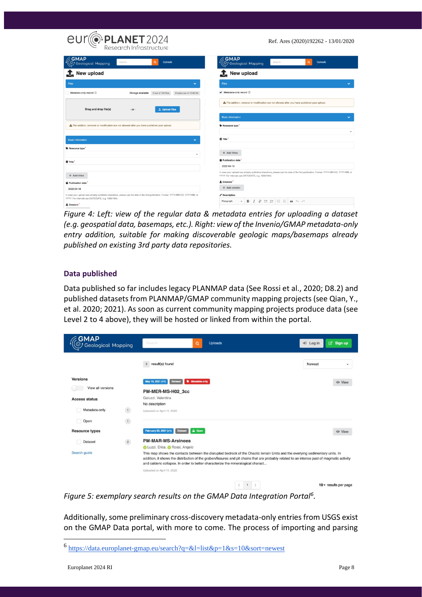| <b>eur PLANET</b> 2024                                                                                                                                                                                                | Ref. Ares (2020)192262 - 13/01/2020                                                                                                                                                      |  |  |
|-----------------------------------------------------------------------------------------------------------------------------------------------------------------------------------------------------------------------|------------------------------------------------------------------------------------------------------------------------------------------------------------------------------------------|--|--|
| <b>GMAP</b><br>Q.<br>Search<br>Uploads<br>$\mathcal{G}$ Geological Mapping                                                                                                                                            | <b>GMAP</b><br>Q.<br>Search<br><b>Uploads</b><br>S Geological Mapping                                                                                                                    |  |  |
| New upload                                                                                                                                                                                                            | New upload                                                                                                                                                                               |  |  |
| <b>Files</b><br>$\checkmark$                                                                                                                                                                                          | <b>Files</b><br>$\checkmark$                                                                                                                                                             |  |  |
| Metadata-only record 2<br>Storage available<br>0 out of 100 files<br>0 bytes out of 10.00 Gb                                                                                                                          | Metadata-only record 7                                                                                                                                                                   |  |  |
| Drag and drop file(s)<br>土 Upload files<br>$-$ or $-$                                                                                                                                                                 | A File addition, removal or modification are not allowed after you have published your upload.                                                                                           |  |  |
|                                                                                                                                                                                                                       | <b>Basic information</b>                                                                                                                                                                 |  |  |
| A File addition, removal or modification are not allowed after you have published your upload.                                                                                                                        | Resource type                                                                                                                                                                            |  |  |
| $\checkmark$<br><b>Basic information</b>                                                                                                                                                                              | <b>El</b> Title                                                                                                                                                                          |  |  |
| Resource type<br>٠                                                                                                                                                                                                    | $+$ Add titles                                                                                                                                                                           |  |  |
| <b>目 Title</b>                                                                                                                                                                                                        | <b>iii</b> Publication date<br>2022-04-16                                                                                                                                                |  |  |
| + Add titles                                                                                                                                                                                                          | In case your upload was already published elsewhere, please use the date of the first publication. Format: YYYY-MM-DD, YYYY-MM, or<br>YYYY. For intervals use DATE/DATE, e.g. 1939/1945. |  |  |
| <b>普 Publication date</b>                                                                                                                                                                                             | 2 Creators<br>+ Add creator                                                                                                                                                              |  |  |
| 2022-04-16<br>In case your upload was already published elsewhere, please use the date of the first publication. Format: YYYY-MM-DD, YYYY-MM, or<br>YYYY. For intervals use DATE/DATE, e.g. 1939/1945.<br>$C$ reators | Description<br>$I \otimes \equiv \equiv$<br>$=$ $=$<br>в<br>$66$ $\leftrightarrow$ $\rightarrow$<br>Paragraph<br>$\checkmark$                                                            |  |  |

*Figure 4: Left: view of the regular data & metadata entries for uploading a dataset (e.g. geospatial data, basemaps, etc.). Right: view of the Invenio/GMAP metadata-only entry addition, suitable for making discoverable geologic maps/basemaps already published on existing 3rd party data repositories.*

## <span id="page-7-0"></span>**Data published**

Data published so far includes legacy PLANMAP data (See Rossi et al., 2020; D8.2) and published datasets from PLANMAP/GMAP community mapping projects (see Qian, Y., et al. 2020; 2021). As soon as current community mapping projects produce data (see Level 2 to 4 above), they will be hosted or linked from within the portal.

| GMAP<br>Geological Mapping |                | <b>Uploads</b><br>Search<br>Q                                                                                                                                                                                                                                                                                                                                     |   | → Log in | 8ign up                 |
|----------------------------|----------------|-------------------------------------------------------------------------------------------------------------------------------------------------------------------------------------------------------------------------------------------------------------------------------------------------------------------------------------------------------------------|---|----------|-------------------------|
|                            |                | result(s) found<br>$\overline{2}$                                                                                                                                                                                                                                                                                                                                 |   | Newest   | ٠                       |
| <b>Versions</b>            |                | <b>Wetadata-only</b><br>May 19, 2021 (v1)<br><b>Dataset</b>                                                                                                                                                                                                                                                                                                       |   |          | <b>◎</b> View           |
| View all versions          |                | PM-MER-MS-H02_3cc                                                                                                                                                                                                                                                                                                                                                 |   |          |                         |
| <b>Access status</b>       |                | Galuzzi, Valentina<br>No description                                                                                                                                                                                                                                                                                                                              |   |          |                         |
| Metadata-only              | $\overline{1}$ | Uploaded on April 11, 2022                                                                                                                                                                                                                                                                                                                                        |   |          |                         |
| Open                       | $\,$ 1 $\,$    |                                                                                                                                                                                                                                                                                                                                                                   |   |          |                         |
| <b>Resource types</b>      |                | C Open<br>February 23, 2021 (v1)<br><b>Dataset</b>                                                                                                                                                                                                                                                                                                                |   |          | <b>◎</b> View           |
| Dataset                    | $\overline{2}$ | <b>PM-MAR-MS-Arsinoes</b><br>Luzzi, Erica, B Rossi, Angelo                                                                                                                                                                                                                                                                                                        |   |          |                         |
| Search guide               |                | This map shows the contacts between the disrupted bedrock of the Chaotic terrain Units and the overlying sedimentary units. In<br>addition, it shows the distribution of the graben/fissures and pit chains that are probably related to an intense past of magmatic activity<br>and calderic collapse. In order to better characterize the mineralogical charact |   |          |                         |
|                            |                | Uploaded on April 11, 2022                                                                                                                                                                                                                                                                                                                                        |   |          |                         |
|                            |                |                                                                                                                                                                                                                                                                                                                                                                   | 1 |          | $10 -$ results per page |

*Figure 5: exemplary search results on the GMAP Data Integration Portal<sup>6</sup> .*

Additionally, some preliminary cross-discovery metadata-only entries from USGS exist on the GMAP Data portal, with more to come. The process of importing and parsing

<sup>6</sup> <https://data.europlanet-gmap.eu/search?q=&l=list&p=1&s=10&sort=newest>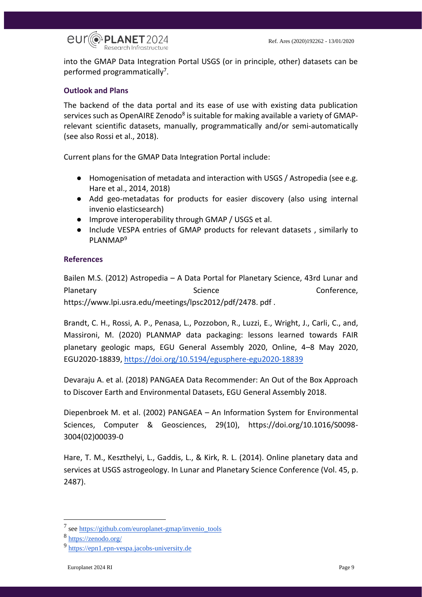

into the GMAP Data Integration Portal USGS (or in principle, other) datasets can be performed programmatically<sup>7</sup>.

## <span id="page-8-0"></span>**Outlook and Plans**

The backend of the data portal and its ease of use with existing data publication services such as OpenAIRE Zenodo<sup>8</sup> is suitable for making available a variety of GMAPrelevant scientific datasets, manually, programmatically and/or semi-automatically (see also Rossi et al., 2018).

Current plans for the GMAP Data Integration Portal include:

- Homogenisation of metadata and interaction with USGS / Astropedia (see e.g. Hare et al., 2014, 2018)
- Add geo-metadatas for products for easier discovery (also using internal invenio elasticsearch)
- Improve interoperability through GMAP / USGS et al.
- Include VESPA entries of GMAP products for relevant datasets , similarly to PLANMAP<sup>9</sup>

### <span id="page-8-1"></span>**References**

Bailen M.S. (2012) Astropedia – A Data Portal for Planetary Science, 43rd Lunar and Planetary **Science** Conference, Conference, Conference, Conference, Conference, Conference, Conference, Conference, Conference, Conference, Conference, Conference, Conference, Conference, Conference, Conference, Conference https://www.lpi.usra.edu/meetings/lpsc2012/pdf/2478. pdf .

Brandt, C. H., Rossi, A. P., Penasa, L., Pozzobon, R., Luzzi, E., Wright, J., Carli, C., and, Massironi, M. (2020) PLANMAP data packaging: lessons learned towards FAIR planetary geologic maps, EGU General Assembly 2020, Online, 4–8 May 2020, EGU2020-18839,<https://doi.org/10.5194/egusphere-egu2020-18839>

Devaraju A. et al. (2018) PANGAEA Data Recommender: An Out of the Box Approach to Discover Earth and Environmental Datasets, EGU General Assembly 2018.

Diepenbroek M. et al. (2002) PANGAEA – An Information System for Environmental Sciences, Computer & Geosciences, 29(10), https://doi.org/10.1016/S0098- 3004(02)00039-0

Hare, T. M., Keszthelyi, L., Gaddis, L., & Kirk, R. L. (2014). Online planetary data and services at USGS astrogeology. In Lunar and Planetary Science Conference (Vol. 45, p. 2487).

<sup>&</sup>lt;sup>7</sup> see [https://github.com/europlanet-gmap/invenio\\_tools](https://github.com/europlanet-gmap/invenio_tools)

<sup>8</sup> <https://zenodo.org/>

<sup>&</sup>lt;sup>9</sup> [https://epn1.epn-vespa.jacobs-university.de](https://epn1.epn-vespa.jacobs-university.de/)